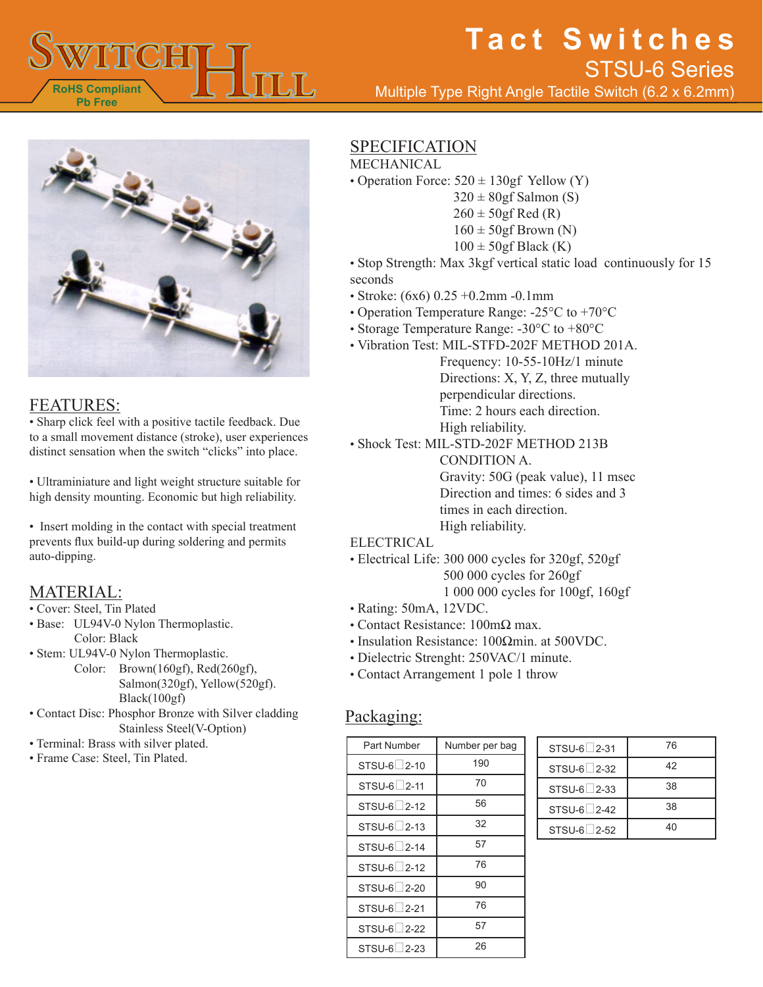

# **Tact Switches** Multiple Type Right Angle Tactile Switch (6.2 x 6.2mm) STSU-6 Series



#### FEATURES:

• Sharp click feel with a positive tactile feedback. Due to a small movement distance (stroke), user experiences distinct sensation when the switch "clicks" into place.

• Ultraminiature and light weight structure suitable for high density mounting. Economic but high reliability.

• Insert molding in the contact with special treatment prevents flux build-up during soldering and permits auto-dipping.

### MATERIAL:

- Cover: Steel, Tin Plated
- Base: UL94V-0 Nylon Thermoplastic. Color: Black
- Stem: UL94V-0 Nylon Thermoplastic.
	- Color: Brown(160gf), Red(260gf), Salmon(320gf), Yellow(520gf). Black(100gf)
- Contact Disc: Phosphor Bronze with Silver cladding Stainless Steel(V-Option)
- Terminal: Brass with silver plated.
- Frame Case: Steel, Tin Plated.

## **SPECIFICATION**

#### MECHANICAL

- Operation Force:  $520 \pm 130gf$  Yellow (Y)
	- $320 \pm 80$ gf Salmon (S)
	- $260 \pm 50$ gf Red (R)
	- $160 \pm 50$ gf Brown (N)
	- $100 \pm 50$ gf Black (K)
- Stop Strength: Max 3kgf vertical static load continuously for 15 seconds
- Stroke: (6x6) 0.25 +0.2mm -0.1mm
- Operation Temperature Range: -25°C to +70°C
- Storage Temperature Range: -30°C to +80°C
- Vibration Test: MIL-STFD-202F METHOD 201A.
	- Frequency: 10-55-10Hz/1 minute Directions: X, Y, Z, three mutually perpendicular directions. Time: 2 hours each direction. High reliability.

• Shock Test: MIL-STD-202F METHOD 213B CONDITION A. Gravity: 50G (peak value), 11 msec Direction and times: 6 sides and 3 times in each direction. High reliability.

#### ELECTRICAL

- Electrical Life: 300 000 cycles for 320gf, 520gf 500 000 cycles for 260gf 1 000 000 cycles for 100gf, 160gf
- Rating: 50mA, 12VDC.
- Contact Resistance: 100mΩ max.
- Insulation Resistance: 100Ωmin. at 500VDC.
- Dielectric Strenght: 250VAC/1 minute.
- Contact Arrangement 1 pole 1 throw

#### Packaging:

| Part Number           | Number per bag |
|-----------------------|----------------|
| STSU-6 2-10           | 190            |
| STSU-6 2-11           | 70             |
| STSU-6 2-12           | 56             |
| STSU-6 2-13           | 32             |
| STSU-6 2-14           | 57             |
| $STSU-6 \square 2-12$ | 76             |
| STSU-6 2-20           | 90             |
| STSU-6 2-21           | 76             |
| STSU-6 2-22           | 57             |
| STSU-6 2-23           | 26             |

| STSU-6 <sup>2</sup> -31 | 76 |
|-------------------------|----|
| STSU-6 2-32             | 42 |
| $STSU-6 \square 2-33$   | 38 |
| STSU-6 2-42             | 38 |
| STSU-6 2-52             | 40 |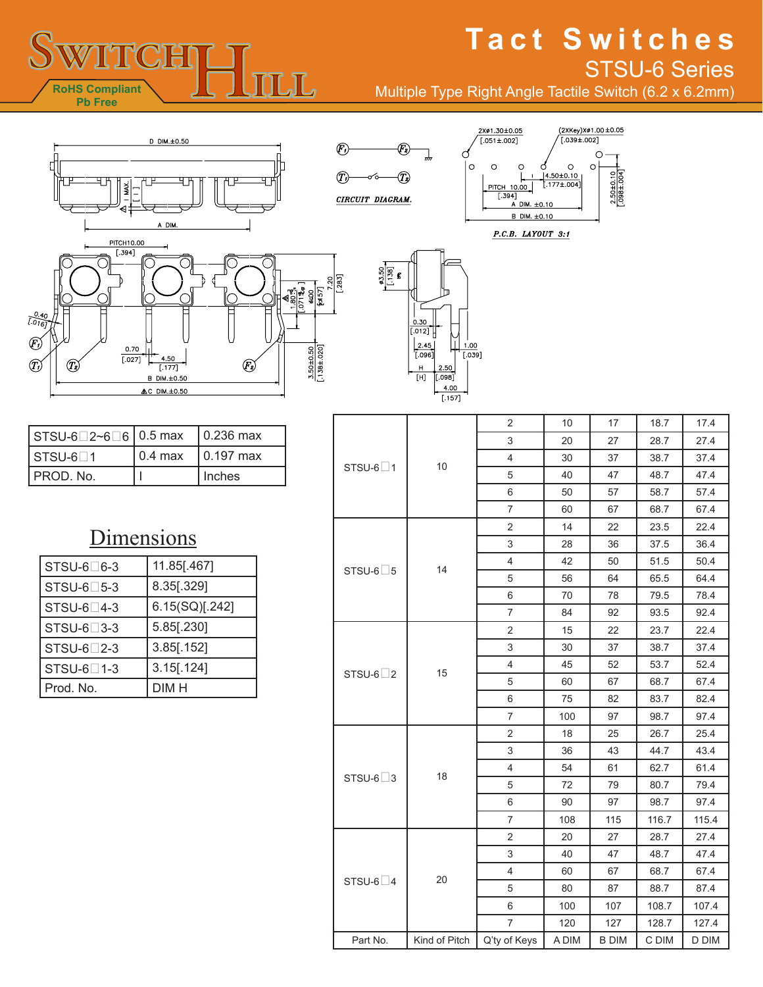## **THITCH**  $\overline{\text{LL}}$ **RoHS Compliant Pb Free**

# **Tact Switches** STSU-6 Series

(2XKey)Xø1.00±0.05<br>'[.039±.002]

 $\circ$  $\circ$ 

 $\frac{4.50 \pm 0.10}{1.177 \pm .004}$ 

 $\circ$ 

 $2.50 \pm 0.10$ <br>[.098±.004]

Multiple Type Right Angle Tactile Switch (6.2 x 6.2mm)

2Xø1.30±0.05  $[.051 \pm .002]$ 

 $\circ$ 

B DIM. ±0.10

 $P.C.B. LAYOUT 3:1$ 

PITCH 10.00  $[.394]$ <br>A DIM.  $\pm 0.10$ 

C

 $\circ$  $\circ$ 





℗

 $^\circledR$ 

| $\sqrt{STSU-6}$ 2~6 6 0.5 max $\sqrt{0.236}$ max |                          |
|--------------------------------------------------|--------------------------|
| l STSU-6∏1                                       | 0.4 max $\,$   0.197 max |
| PROD. No.                                        | Inches                   |

## **Dimensions**

| STSU-6□6-3           | 11.85[.467]    |
|----------------------|----------------|
| $STSU-6 \square 5-3$ | 8.35[.329]     |
| $STSU-6\square$ 4-3  | 6.15(SQ)[.242] |
| STSU-6□3-3           | 5.85[.230]     |
| $STSU-6\square$ 2-3  | $3.85$ [.152]  |
| $STSU-6$ 1-3         | $3.15$ [.124]  |
| Prod. No.            | DIM H          |

|                       | 10            | $\overline{2}$ | 10    | 17           | 18.7  | 17.4  |
|-----------------------|---------------|----------------|-------|--------------|-------|-------|
|                       |               | 3              | 20    | 27           | 28.7  | 27.4  |
| STSU-6 $\Box$ 1       |               | $\overline{4}$ | 30    | 37           | 38.7  | 37.4  |
|                       |               | 5              | 40    | 47           | 48.7  | 47.4  |
|                       |               | 6              | 50    | 57           | 58.7  | 57.4  |
|                       |               | $\overline{7}$ | 60    | 67           | 68.7  | 67.4  |
|                       | 14            | 2              | 14    | 22           | 23.5  | 22.4  |
|                       |               | 3              | 28    | 36           | 37.5  | 36.4  |
|                       |               | $\overline{4}$ | 42    | 50           | 51.5  | 50.4  |
| STSU-6 $\Box$ 5       |               | 5              | 56    | 64           | 65.5  | 64.4  |
|                       |               | 6              | 70    | 78           | 79.5  | 78.4  |
|                       |               | 7              | 84    | 92           | 93.5  | 92.4  |
|                       | 15            | $\overline{2}$ | 15    | 22           | 23.7  | 22.4  |
|                       |               | 3              | 30    | 37           | 38.7  | 37.4  |
| STSU-6 $\square$ 2    |               | $\overline{4}$ | 45    | 52           | 53.7  | 52.4  |
|                       |               | 5              | 60    | 67           | 68.7  | 67.4  |
|                       |               | 6              | 75    | 82           | 83.7  | 82.4  |
|                       |               | $\overline{7}$ | 100   | 97           | 98.7  | 97.4  |
|                       |               | $\overline{c}$ | 18    | 25           | 26.7  | 25.4  |
|                       | 18            | 3              | 36    | 43           | 44.7  | 43.4  |
|                       |               | 4              | 54    | 61           | 62.7  | 61.4  |
| $STSU-6$ <sup>3</sup> |               | 5              | 72    | 79           | 80.7  | 79.4  |
|                       |               | 6              | 90    | 97           | 98.7  | 97.4  |
|                       |               | 7              | 108   | 115          | 116.7 | 115.4 |
|                       | 20            | $\overline{2}$ | 20    | 27           | 28.7  | 27.4  |
|                       |               | 3              | 40    | 47           | 48.7  | 47.4  |
|                       |               | 4              | 60    | 67           | 68.7  | 67.4  |
| STSU-6 $\Box$ 4       |               | 5              | 80    | 87           | 88.7  | 87.4  |
|                       |               | 6              | 100   | 107          | 108.7 | 107.4 |
|                       |               | $\overline{7}$ | 120   | 127          | 128.7 | 127.4 |
| Part No.              | Kind of Pitch | Q'ty of Keys   | A DIM | <b>B DIM</b> | C DIM | D DIM |